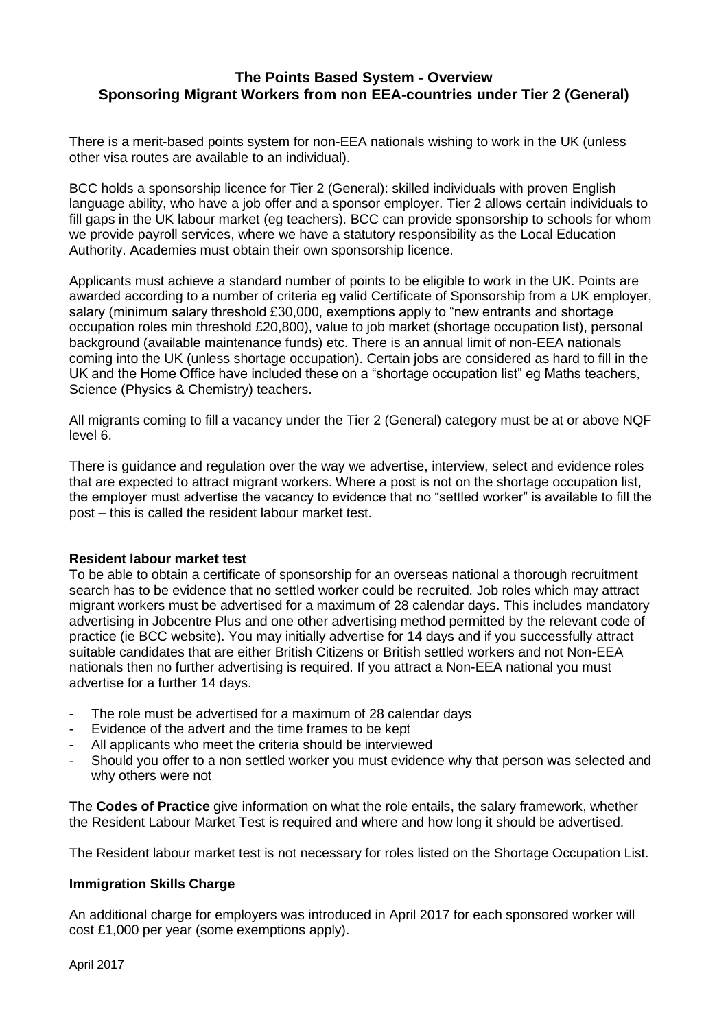# **The Points Based System - Overview Sponsoring Migrant Workers from non EEA-countries under Tier 2 (General)**

There is a merit-based points system for non-EEA nationals wishing to work in the UK (unless other visa routes are available to an individual).

BCC holds a sponsorship licence for Tier 2 (General): skilled individuals with proven English language ability, who have a job offer and a sponsor employer. Tier 2 allows certain individuals to fill gaps in the UK labour market (eg teachers). BCC can provide sponsorship to schools for whom we provide payroll services, where we have a statutory responsibility as the Local Education Authority. Academies must obtain their own sponsorship licence.

Applicants must achieve a standard number of points to be eligible to work in the UK. Points are awarded according to a number of criteria eg valid Certificate of Sponsorship from a UK employer, salary (minimum salary threshold £30,000, exemptions apply to "new entrants and shortage occupation roles min threshold £20,800), value to job market (shortage occupation list), personal background (available maintenance funds) etc. There is an annual limit of non-EEA nationals coming into the UK (unless shortage occupation). Certain jobs are considered as hard to fill in the UK and the Home Office have included these on a "shortage occupation list" eg Maths teachers, Science (Physics & Chemistry) teachers.

All migrants coming to fill a vacancy under the Tier 2 (General) category must be at or above NQF level 6.

There is guidance and regulation over the way we advertise, interview, select and evidence roles that are expected to attract migrant workers. Where a post is not on the shortage occupation list, the employer must advertise the vacancy to evidence that no "settled worker" is available to fill the post – this is called the resident labour market test.

#### **Resident labour market test**

To be able to obtain a certificate of sponsorship for an overseas national a thorough recruitment search has to be evidence that no settled worker could be recruited. Job roles which may attract migrant workers must be advertised for a maximum of 28 calendar days. This includes mandatory advertising in Jobcentre Plus and one other advertising method permitted by the relevant code of practice (ie BCC website). You may initially advertise for 14 days and if you successfully attract suitable candidates that are either British Citizens or British settled workers and not Non-EEA nationals then no further advertising is required. If you attract a Non-EEA national you must advertise for a further 14 days.

- The role must be advertised for a maximum of 28 calendar days
- Evidence of the advert and the time frames to be kept
- All applicants who meet the criteria should be interviewed
- Should you offer to a non settled worker you must evidence why that person was selected and why others were not

The **Codes of Practice** give information on what the role entails, the salary framework, whether the Resident Labour Market Test is required and where and how long it should be advertised.

The Resident labour market test is not necessary for roles listed on the Shortage Occupation List.

#### **Immigration Skills Charge**

An additional charge for employers was introduced in April 2017 for each sponsored worker will cost £1,000 per year (some exemptions apply).